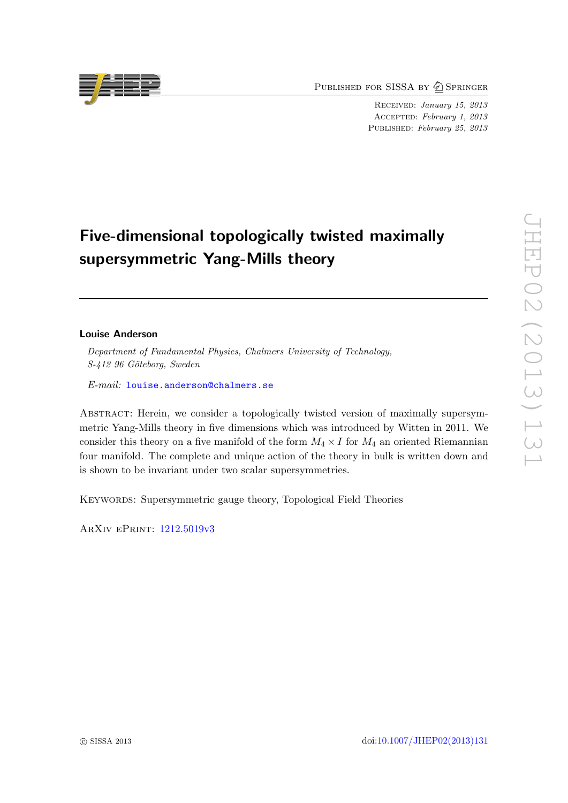PUBLISHED FOR SISSA BY 2 SPRINGER

Received: January 15, 2013 Accepted: February 1, 2013 PUBLISHED: February 25, 2013

# Five-dimensional topologically twisted maximally supersymmetric Yang-Mills theory

## Louise Anderson

Department of Fundamental Physics, Chalmers University of Technology, S-412 96 Göteborg, Sweden

E-mail: [louise.anderson@chalmers.se](mailto:louise.anderson@chalmers.se)

Abstract: Herein, we consider a topologically twisted version of maximally supersymmetric Yang-Mills theory in five dimensions which was introduced by Witten in 2011. We consider this theory on a five manifold of the form  $M_4 \times I$  for  $M_4$  an oriented Riemannian four manifold. The complete and unique action of the theory in bulk is written down and is shown to be invariant under two scalar supersymmetries.

KEYWORDS: Supersymmetric gauge theory, Topological Field Theories

ArXiv ePrint: [1212.5019v3](http://arxiv.org/abs/1212.5019v3)

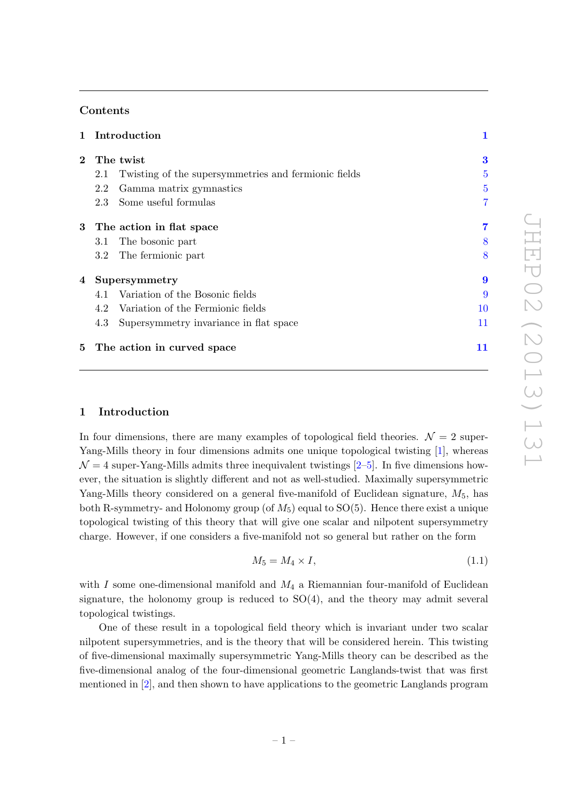# Contents

| $\mathbf{1}$   | Introduction                                                | 1                |  |  |
|----------------|-------------------------------------------------------------|------------------|--|--|
| $\overline{2}$ | The twist                                                   |                  |  |  |
|                | Twisting of the supersymmetries and fermionic fields<br>2.1 | $\overline{5}$   |  |  |
|                | Gamma matrix gymnastics<br>2.2                              | $\overline{5}$   |  |  |
|                | Some useful formulas<br>2.3                                 | 7                |  |  |
| $3-$           | The action in flat space                                    | 7                |  |  |
|                | The bosonic part<br>3.1                                     | 8                |  |  |
|                | The fermionic part<br>$3.2\,$                               | 8                |  |  |
| 4              | Supersymmetry                                               | $\boldsymbol{9}$ |  |  |
|                | Variation of the Bosonic fields<br>4.1                      | 9                |  |  |
|                | Variation of the Fermionic fields<br>4.2                    | 10               |  |  |
|                | Supersymmetry invariance in flat space<br>4.3               | 11               |  |  |
| 5              | The action in curved space                                  | 11               |  |  |

# <span id="page-1-0"></span>1 Introduction

In four dimensions, there are many examples of topological field theories.  $\mathcal{N} = 2$  super-Yang-Mills theory in four dimensions admits one unique topological twisting [\[1\]](#page-14-0), whereas  $\mathcal{N} = 4$  super-Yang-Mills admits three inequivalent twistings [\[2](#page-14-1)[–5\]](#page-14-2). In five dimensions however, the situation is slightly different and not as well-studied. Maximally supersymmetric Yang-Mills theory considered on a general five-manifold of Euclidean signature,  $M_5$ , has both R-symmetry- and Holonomy group (of  $M_5$ ) equal to SO(5). Hence there exist a unique topological twisting of this theory that will give one scalar and nilpotent supersymmetry charge. However, if one considers a five-manifold not so general but rather on the form

<span id="page-1-1"></span>
$$
M_5 = M_4 \times I,\tag{1.1}
$$

with I some one-dimensional manifold and  $M_4$  a Riemannian four-manifold of Euclidean signature, the holonomy group is reduced to  $SO(4)$ , and the theory may admit several topological twistings.

One of these result in a topological field theory which is invariant under two scalar nilpotent supersymmetries, and is the theory that will be considered herein. This twisting of five-dimensional maximally supersymmetric Yang-Mills theory can be described as the five-dimensional analog of the four-dimensional geometric Langlands-twist that was first mentioned in [\[2\]](#page-14-1), and then shown to have applications to the geometric Langlands program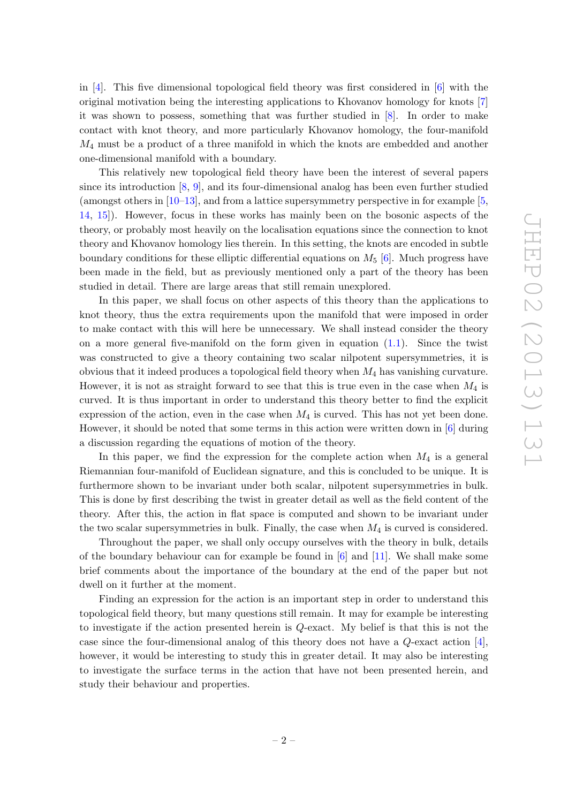in [\[4\]](#page-14-3). This five dimensional topological field theory was first considered in [\[6\]](#page-14-4) with the original motivation being the interesting applications to Khovanov homology for knots [\[7\]](#page-14-5) it was shown to possess, something that was further studied in [\[8\]](#page-14-6). In order to make contact with knot theory, and more particularly Khovanov homology, the four-manifold  $M_4$  must be a product of a three manifold in which the knots are embedded and another one-dimensional manifold with a boundary.

This relatively new topological field theory have been the interest of several papers since its introduction [\[8,](#page-14-6) [9\]](#page-14-7), and its four-dimensional analog has been even further studied (amongst others in [\[10](#page-14-8)[–13\]](#page-14-9), and from a lattice supersymmetry perspective in for example [\[5,](#page-14-2) [14,](#page-14-10) [15\]](#page-14-11)). However, focus in these works has mainly been on the bosonic aspects of the theory, or probably most heavily on the localisation equations since the connection to knot theory and Khovanov homology lies therein. In this setting, the knots are encoded in subtle boundary conditions for these elliptic differential equations on  $M_5$  [\[6\]](#page-14-4). Much progress have been made in the field, but as previously mentioned only a part of the theory has been studied in detail. There are large areas that still remain unexplored.

In this paper, we shall focus on other aspects of this theory than the applications to knot theory, thus the extra requirements upon the manifold that were imposed in order to make contact with this will here be unnecessary. We shall instead consider the theory on a more general five-manifold on the form given in equation  $(1.1)$ . Since the twist was constructed to give a theory containing two scalar nilpotent supersymmetries, it is obvious that it indeed produces a topological field theory when  $M_4$  has vanishing curvature. However, it is not as straight forward to see that this is true even in the case when  $M_4$  is curved. It is thus important in order to understand this theory better to find the explicit expression of the action, even in the case when  $M_4$  is curved. This has not yet been done. However, it should be noted that some terms in this action were written down in [\[6\]](#page-14-4) during a discussion regarding the equations of motion of the theory.

In this paper, we find the expression for the complete action when  $M_4$  is a general Riemannian four-manifold of Euclidean signature, and this is concluded to be unique. It is furthermore shown to be invariant under both scalar, nilpotent supersymmetries in bulk. This is done by first describing the twist in greater detail as well as the field content of the theory. After this, the action in flat space is computed and shown to be invariant under the two scalar supersymmetries in bulk. Finally, the case when  $M_4$  is curved is considered.

Throughout the paper, we shall only occupy ourselves with the theory in bulk, details of the boundary behaviour can for example be found in [\[6\]](#page-14-4) and [\[11\]](#page-14-12). We shall make some brief comments about the importance of the boundary at the end of the paper but not dwell on it further at the moment.

Finding an expression for the action is an important step in order to understand this topological field theory, but many questions still remain. It may for example be interesting to investigate if the action presented herein is Q-exact. My belief is that this is not the case since the four-dimensional analog of this theory does not have a  $Q$ -exact action [\[4\]](#page-14-3), however, it would be interesting to study this in greater detail. It may also be interesting to investigate the surface terms in the action that have not been presented herein, and study their behaviour and properties.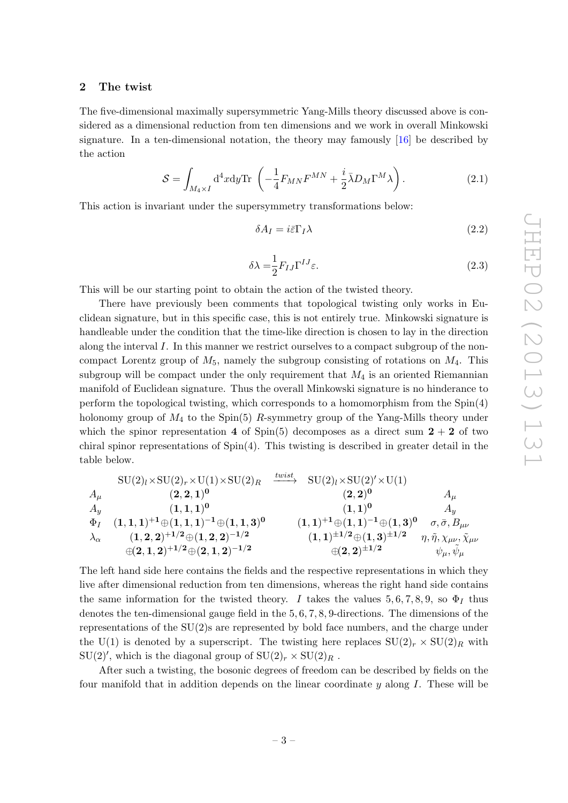#### <span id="page-3-0"></span>2 The twist

The five-dimensional maximally supersymmetric Yang-Mills theory discussed above is considered as a dimensional reduction from ten dimensions and we work in overall Minkowski signature. In a ten-dimensional notation, the theory may famously [\[16\]](#page-14-13) be described by the action

$$
S = \int_{M_4 \times I} d^4x dy \text{Tr} \left( -\frac{1}{4} F_{MN} F^{MN} + \frac{i}{2} \bar{\lambda} D_M \Gamma^M \lambda \right). \tag{2.1}
$$

This action is invariant under the supersymmetry transformations below:

<span id="page-3-3"></span><span id="page-3-2"></span><span id="page-3-1"></span>
$$
\delta A_I = i\bar{\varepsilon}\Gamma_I \lambda \tag{2.2}
$$

$$
\delta \lambda = \frac{1}{2} F_{IJ} \Gamma^{IJ} \varepsilon. \tag{2.3}
$$

This will be our starting point to obtain the action of the twisted theory.

There have previously been comments that topological twisting only works in Euclidean signature, but in this specific case, this is not entirely true. Minkowski signature is handleable under the condition that the time-like direction is chosen to lay in the direction along the interval I. In this manner we restrict ourselves to a compact subgroup of the noncompact Lorentz group of  $M_5$ , namely the subgroup consisting of rotations on  $M_4$ . This subgroup will be compact under the only requirement that  $M_4$  is an oriented Riemannian manifold of Euclidean signature. Thus the overall Minkowski signature is no hinderance to perform the topological twisting, which corresponds to a homomorphism from the Spin(4) holonomy group of  $M_4$  to the Spin(5) R-symmetry group of the Yang-Mills theory under which the spinor representation 4 of Spin(5) decomposes as a direct sum  $2 + 2$  of two chiral spinor representations of Spin(4). This twisting is described in greater detail in the table below.

$$
\begin{array}{ccccccccc} &\text{SU}(2)_{l}\times \text{SU}(2)_{r}\times \text{U}(1)\times \text{SU}(2)_{R}&\xrightarrow{twist}&\text{SU}(2)_{l}\times \text{SU}(2)'\times \text{U}(1)\\ A_{\mu} & (2,2,1)^{0} & (2,2)^{0} & A_{\mu}\\ A_{y} & (1,1,1)^{0} & (1,1)^{0} & A_{y}\\ \Phi_{I} & (1,1,1)^{+1}\oplus (1,1,1)^{-1}\oplus (1,1,3)^{0} & (1,1)^{+1}\oplus (1,1)^{-1}\oplus (1,3)^{0} & \sigma,\bar{\sigma},B_{\mu\nu}\\ \lambda_{\alpha} & (1,2,2)^{+1/2}\oplus (1,2,2)^{-1/2} & (1,1)^{\pm 1/2}\oplus (1,3)^{\pm 1/2} & \eta,\tilde{\eta},\chi_{\mu\nu},\tilde{\chi}_{\mu\nu}\\ \hline \Theta(2,1,2)^{+1/2}\oplus (2,1,2)^{-1/2} & \Theta(2,2)^{\pm 1/2} & \psi_{\mu},\tilde{\psi}_{\mu}\end{array}
$$

The left hand side here contains the fields and the respective representations in which they live after dimensional reduction from ten dimensions, whereas the right hand side contains the same information for the twisted theory. I takes the values 5, 6, 7, 8, 9, so  $\Phi_I$  thus denotes the ten-dimensional gauge field in the 5, 6, 7, 8, 9-directions. The dimensions of the representations of the SU(2)s are represented by bold face numbers, and the charge under the U(1) is denoted by a superscript. The twisting here replaces  $SU(2)_r \times SU(2)_R$  with  $SU(2)'$ , which is the diagonal group of  $SU(2)_r \times SU(2)_R$ .

After such a twisting, the bosonic degrees of freedom can be described by fields on the four manifold that in addition depends on the linear coordinate  $\eta$  along I. These will be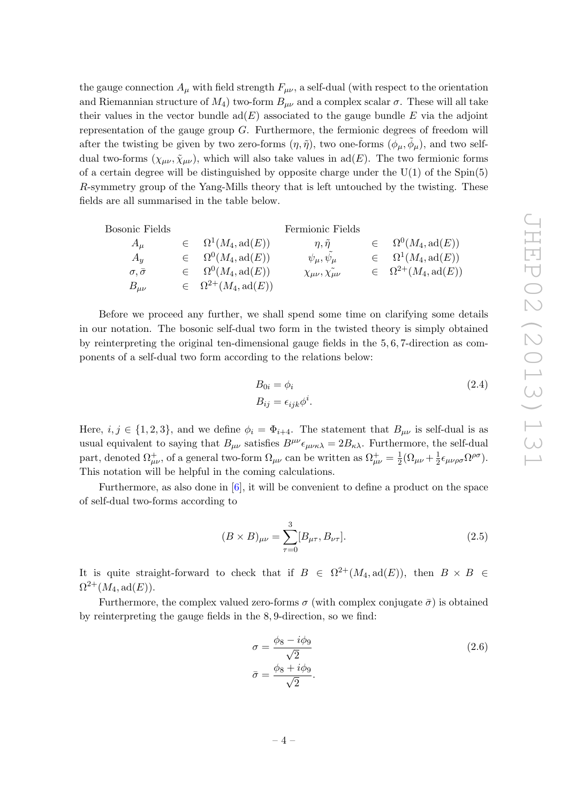the gauge connection  $A_{\mu}$  with field strength  $F_{\mu\nu}$ , a self-dual (with respect to the orientation and Riemannian structure of  $M_4$ ) two-form  $B_{\mu\nu}$  and a complex scalar  $\sigma$ . These will all take their values in the vector bundle  $ad(E)$  associated to the gauge bundle E via the adjoint representation of the gauge group G. Furthermore, the fermionic degrees of freedom will after the twisting be given by two zero-forms  $(\eta, \tilde{\eta})$ , two one-forms  $(\phi_{\mu}, \tilde{\phi}_{\mu})$ , and two selfdual two-forms  $(\chi_{\mu\nu}, \tilde{\chi}_{\mu\nu})$ , which will also take values in ad(E). The two fermionic forms of a certain degree will be distinguished by opposite charge under the  $U(1)$  of the Spin(5) R-symmetry group of the Yang-Mills theory that is left untouched by the twisting. These fields are all summarised in the table below.

| Bosonic Fields            |                                      | Fermionic Fields                       |                                      |
|---------------------------|--------------------------------------|----------------------------------------|--------------------------------------|
| $A_{\mu}$                 | $\in \Omega^1(M_4, \text{ad}(E))$    | $\eta, \tilde{\eta}$                   | $\in \Omega^0(M_4, \text{ad}(E))$    |
| $A_u$                     | $\in \Omega^0(M_4, \text{ad}(E))$    | $\psi_\mu, \psi_\mu$                   | $\in \Omega^1(M_4, \text{ad}(E))$    |
| $\sigma$ , $\bar{\sigma}$ | $\in \Omega^0(M_4, \text{ad}(E))$    | $\chi_{\mu\nu}, \tilde{\chi_{\mu\nu}}$ | $\in \Omega^{2+}(M_4, \text{ad}(E))$ |
| $B_{\mu\nu}$              | $\in \Omega^{2+}(M_4, \text{ad}(E))$ |                                        |                                      |

Before we proceed any further, we shall spend some time on clarifying some details in our notation. The bosonic self-dual two form in the twisted theory is simply obtained by reinterpreting the original ten-dimensional gauge fields in the 5, 6, 7-direction as components of a self-dual two form according to the relations below:

$$
B_{0i} = \phi_i
$$
  
\n
$$
B_{ij} = \epsilon_{ijk}\phi^i.
$$
\n(2.4)

Here,  $i, j \in \{1, 2, 3\}$ , and we define  $\phi_i = \Phi_{i+4}$ . The statement that  $B_{\mu\nu}$  is self-dual is as usual equivalent to saying that  $B_{\mu\nu}$  satisfies  $B^{\mu\nu}\epsilon_{\mu\nu\kappa\lambda} = 2B_{\kappa\lambda}$ . Furthermore, the self-dual part, denoted  $\Omega_{\mu\nu}^+$ , of a general two-form  $\Omega_{\mu\nu}$  can be written as  $\Omega_{\mu\nu}^+ = \frac{1}{2}$  $\frac{1}{2}(\Omega_{\mu\nu} + \frac{1}{2})$  $\frac{1}{2}\epsilon_{\mu\nu\rho\sigma}\Omega^{\rho\sigma}$ ). This notation will be helpful in the coming calculations.

Furthermore, as also done in [\[6\]](#page-14-4), it will be convenient to define a product on the space of self-dual two-forms according to

$$
(B \times B)_{\mu\nu} = \sum_{\tau=0}^{3} [B_{\mu\tau}, B_{\nu\tau}].
$$
 (2.5)

It is quite straight-forward to check that if  $B \in \Omega^{2+}(M_4, \text{ad}(E))$ , then  $B \times B \in$  $\Omega^{2+}(M_4,\mathrm{ad}(E)).$ 

Furthermore, the complex valued zero-forms  $\sigma$  (with complex conjugate  $\bar{\sigma}$ ) is obtained by reinterpreting the gauge fields in the 8, 9-direction, so we find:

$$
\sigma = \frac{\phi_8 - i\phi_9}{\sqrt{2}}
$$
  
\n
$$
\bar{\sigma} = \frac{\phi_8 + i\phi_9}{\sqrt{2}}.
$$
\n(2.6)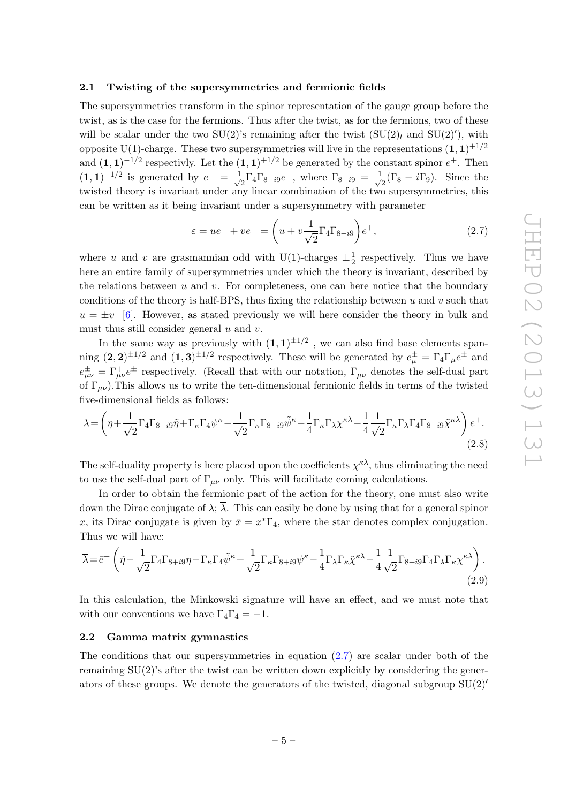### <span id="page-5-0"></span>2.1 Twisting of the supersymmetries and fermionic fields

The supersymmetries transform in the spinor representation of the gauge group before the twist, as is the case for the fermions. Thus after the twist, as for the fermions, two of these will be scalar under the two SU(2)'s remaining after the twist  $(SU(2)<sub>l</sub>$  and SU(2)'), with opposite U(1)-charge. These two supersymmetries will live in the representations  $(1,1)^{+1/2}$ and  $(1,1)^{-1/2}$  respectivly. Let the  $(1,1)^{+1/2}$  be generated by the constant spinor  $e^+$ . Then  $(1,1)^{-1/2}$  is generated by  $e^- = \frac{1}{4}$  $\frac{1}{2}\Gamma_4\Gamma_{8-i9}e^+$ , where  $\Gamma_{8-i9} = \frac{1}{\sqrt{2}}$  $\overline{z}(\Gamma_8 - i\Gamma_9)$ . Since the twisted theory is invariant under any linear combination of the two supersymmetries, this can be written as it being invariant under a supersymmetry with parameter

<span id="page-5-3"></span><span id="page-5-2"></span>
$$
\varepsilon = ue^{+} + ve^{-} = \left(u + v\frac{1}{\sqrt{2}}\Gamma_{4}\Gamma_{8-i9}\right)e^{+},\qquad(2.7)
$$

where u and v are grasmannian odd with U(1)-charges  $\pm \frac{1}{2}$  $\frac{1}{2}$  respectively. Thus we have here an entire family of supersymmetries under which the theory is invariant, described by the relations between  $u$  and  $v$ . For completeness, one can here notice that the boundary conditions of the theory is half-BPS, thus fixing the relationship between  $u$  and  $v$  such that  $u = \pm v$  [\[6\]](#page-14-4). However, as stated previously we will here consider the theory in bulk and must thus still consider general  $u$  and  $v$ .

In the same way as previously with  $(1,1)^{\pm 1/2}$  , we can also find base elements spanning  $(2,2)^{\pm 1/2}$  and  $(1,3)^{\pm 1/2}$  respectively. These will be generated by  $e^{\pm}_{\mu} = \Gamma_4 \Gamma_{\mu} e^{\pm}$  and  $e^{\pm}_{\mu\nu} = \Gamma^+_{\mu\nu} e^{\pm}$  respectively. (Recall that with our notation,  $\Gamma^+_{\mu\nu}$  denotes the self-dual part of  $\Gamma_{\mu\nu}$ ). This allows us to write the ten-dimensional fermionic fields in terms of the twisted five-dimensional fields as follows:

$$
\lambda = \left(\eta + \frac{1}{\sqrt{2}}\Gamma_4\Gamma_{8-i9}\tilde{\eta} + \Gamma_{\kappa}\Gamma_4\psi^{\kappa} - \frac{1}{\sqrt{2}}\Gamma_{\kappa}\Gamma_{8-i9}\tilde{\psi}^{\kappa} - \frac{1}{4}\Gamma_{\kappa}\Gamma_{\lambda}\chi^{\kappa\lambda} - \frac{1}{4}\frac{1}{\sqrt{2}}\Gamma_{\kappa}\Gamma_{\lambda}\Gamma_4\Gamma_{8-i9}\tilde{\chi}^{\kappa\lambda}\right)e^{+}.\tag{2.8}
$$

The self-duality property is here placed upon the coefficients  $\chi^{\kappa\lambda}$ , thus eliminating the need to use the self-dual part of  $\Gamma_{\mu\nu}$  only. This will facilitate coming calculations.

In order to obtain the fermionic part of the action for the theory, one must also write down the Dirac conjugate of  $\lambda$ ;  $\overline{\lambda}$ . This can easily be done by using that for a general spinor x, its Dirac conjugate is given by  $\bar{x} = x^* \Gamma_4$ , where the star denotes complex conjugation. Thus we will have:

<span id="page-5-4"></span>
$$
\overline{\lambda} = \overline{e}^+ \left( \tilde{\eta} - \frac{1}{\sqrt{2}} \Gamma_4 \Gamma_{8+i9} \eta - \Gamma_\kappa \Gamma_4 \tilde{\psi}^\kappa + \frac{1}{\sqrt{2}} \Gamma_\kappa \Gamma_{8+i9} \psi^\kappa - \frac{1}{4} \Gamma_\lambda \Gamma_\kappa \tilde{\chi}^{\kappa \lambda} - \frac{1}{4} \frac{1}{\sqrt{2}} \Gamma_{8+i9} \Gamma_4 \Gamma_\lambda \Gamma_\kappa \chi^{\kappa \lambda} \right). \tag{2.9}
$$

In this calculation, the Minkowski signature will have an effect, and we must note that with our conventions we have  $\Gamma_4\Gamma_4 = -1$ .

## <span id="page-5-1"></span>2.2 Gamma matrix gymnastics

The conditions that our supersymmetries in equation [\(2.7\)](#page-5-2) are scalar under both of the remaining  $SU(2)$ 's after the twist can be written down explicitly by considering the generators of these groups. We denote the generators of the twisted, diagonal subgroup  $SU(2)$ <sup>'</sup>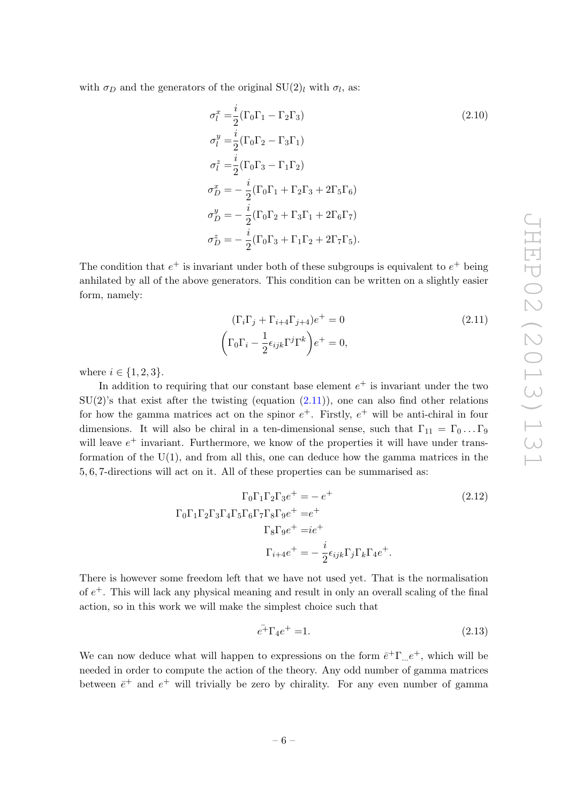with  $\sigma_D$  and the generators of the original  $SU(2)_l$  with  $\sigma_l$ , as:

$$
\sigma_l^x = \frac{i}{2} (\Gamma_0 \Gamma_1 - \Gamma_2 \Gamma_3)
$$
\n
$$
\sigma_l^y = \frac{i}{2} (\Gamma_0 \Gamma_2 - \Gamma_3 \Gamma_1)
$$
\n
$$
\sigma_l^z = \frac{i}{2} (\Gamma_0 \Gamma_3 - \Gamma_1 \Gamma_2)
$$
\n
$$
\sigma_D^x = -\frac{i}{2} (\Gamma_0 \Gamma_1 + \Gamma_2 \Gamma_3 + 2 \Gamma_5 \Gamma_6)
$$
\n
$$
\sigma_D^y = -\frac{i}{2} (\Gamma_0 \Gamma_2 + \Gamma_3 \Gamma_1 + 2 \Gamma_6 \Gamma_7)
$$
\n
$$
\sigma_D^z = -\frac{i}{2} (\Gamma_0 \Gamma_3 + \Gamma_1 \Gamma_2 + 2 \Gamma_7 \Gamma_5).
$$
\n(2.10)

The condition that  $e^+$  is invariant under both of these subgroups is equivalent to  $e^+$  being anhilated by all of the above generators. This condition can be written on a slightly easier form, namely:

<span id="page-6-0"></span>
$$
(\Gamma_i \Gamma_j + \Gamma_{i+4} \Gamma_{j+4})e^+ = 0
$$
\n
$$
(\Gamma_0 \Gamma_i - \frac{1}{2} \epsilon_{ijk} \Gamma^j \Gamma^k) e^+ = 0,
$$
\n(2.11)

where  $i \in \{1, 2, 3\}$ .

In addition to requiring that our constant base element  $e^+$  is invariant under the two  $SU(2)$ 's that exist after the twisting (equation  $(2.11)$ ), one can also find other relations for how the gamma matrices act on the spinor  $e^+$ . Firstly,  $e^+$  will be anti-chiral in four dimensions. It will also be chiral in a ten-dimensional sense, such that  $\Gamma_{11} = \Gamma_0 \dots \Gamma_9$ will leave  $e^+$  invariant. Furthermore, we know of the properties it will have under transformation of the U(1), and from all this, one can deduce how the gamma matrices in the 5, 6, 7-directions will act on it. All of these properties can be summarised as:

$$
\Gamma_0 \Gamma_1 \Gamma_2 \Gamma_3 e^+ = -e^+
$$
\n
$$
\Gamma_0 \Gamma_1 \Gamma_2 \Gamma_3 \Gamma_4 \Gamma_5 \Gamma_6 \Gamma_7 \Gamma_8 \Gamma_9 e^+ = e^+
$$
\n
$$
\Gamma_8 \Gamma_9 e^+ = i e^+
$$
\n
$$
\Gamma_{i+4} e^+ = -\frac{i}{2} \epsilon_{ijk} \Gamma_j \Gamma_k \Gamma_4 e^+.
$$
\n(2.12)

There is however some freedom left that we have not used yet. That is the normalisation of  $e<sup>+</sup>$ . This will lack any physical meaning and result in only an overall scaling of the final action, so in this work we will make the simplest choice such that

<span id="page-6-1"></span>
$$
e^{\overline{+}}\Gamma_4 e^+ = 1. \tag{2.13}
$$

We can now deduce what will happen to expressions on the form  $\bar{e}^{\pm} \Gamma_{...} e^{\pm}$ , which will be needed in order to compute the action of the theory. Any odd number of gamma matrices between  $\bar{e}^+$  and  $e^+$  will trivially be zero by chirality. For any even number of gamma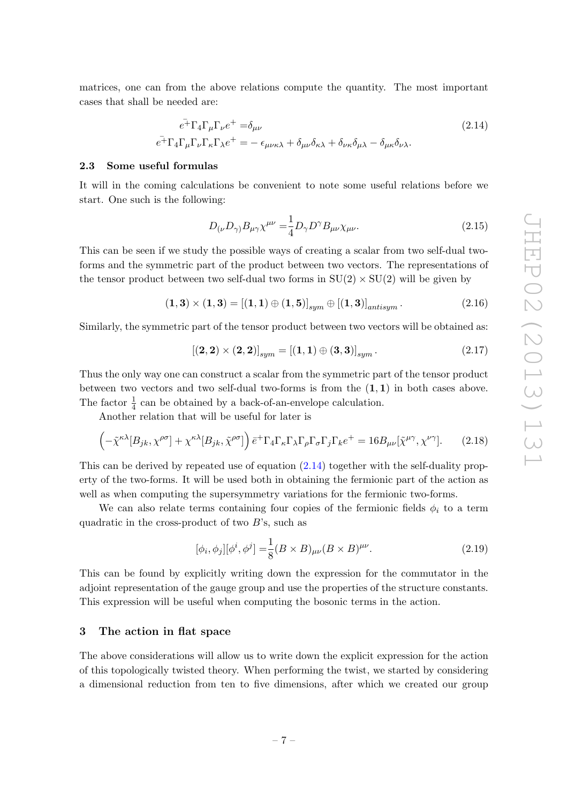matrices, one can from the above relations compute the quantity. The most important cases that shall be needed are:

$$
\bar{e^+} \Gamma_4 \Gamma_\mu \Gamma_\nu e^+ = \delta_{\mu\nu} \tag{2.14}
$$
\n
$$
\bar{e^+} \Gamma_4 \Gamma_\mu \Gamma_\nu \Gamma_\kappa \Gamma_\lambda e^+ = -\epsilon_{\mu\nu\kappa\lambda} + \delta_{\mu\nu} \delta_{\kappa\lambda} + \delta_{\nu\kappa} \delta_{\mu\lambda} - \delta_{\mu\kappa} \delta_{\nu\lambda}.
$$

# <span id="page-7-0"></span>2.3 Some useful formulas

It will in the coming calculations be convenient to note some useful relations before we start. One such is the following:

<span id="page-7-4"></span><span id="page-7-2"></span>
$$
D_{(\nu}D_{\gamma)}B_{\mu\gamma}\chi^{\mu\nu} = \frac{1}{4}D_{\gamma}D^{\gamma}B_{\mu\nu}\chi_{\mu\nu}.
$$
 (2.15)

This can be seen if we study the possible ways of creating a scalar from two self-dual twoforms and the symmetric part of the product between two vectors. The representations of the tensor product between two self-dual two forms in  $SU(2) \times SU(2)$  will be given by

$$
(1,3) \times (1,3) = [(1,1) \oplus (1,5)]_{sym} \oplus [(1,3)]_{antisym}.
$$
 (2.16)

Similarly, the symmetric part of the tensor product between two vectors will be obtained as:

$$
[(2,2)\times(2,2)]_{sym}=[(1,1)\oplus(3,3)]_{sym}.
$$
\n(2.17)

Thus the only way one can construct a scalar from the symmetric part of the tensor product between two vectors and two self-dual two-forms is from the  $(1,1)$  in both cases above. The factor  $\frac{1}{4}$  can be obtained by a back-of-an-envelope calculation.

Another relation that will be useful for later is

$$
\left(-\tilde{\chi}^{\kappa\lambda}[B_{jk},\chi^{\rho\sigma}]+\chi^{\kappa\lambda}[B_{jk},\tilde{\chi}^{\rho\sigma}]\right)\bar{e}^{\dagger}\Gamma_{4}\Gamma_{\kappa}\Gamma_{\lambda}\Gamma_{\rho}\Gamma_{\sigma}\Gamma_{j}\Gamma_{k}e^{\dagger}=16B_{\mu\nu}[\tilde{\chi}^{\mu\gamma},\chi^{\nu\gamma}].
$$
 (2.18)

This can be derived by repeated use of equation [\(2.14\)](#page-7-2) together with the self-duality property of the two-forms. It will be used both in obtaining the fermionic part of the action as well as when computing the supersymmetry variations for the fermionic two-forms.

We can also relate terms containing four copies of the fermionic fields  $\phi_i$  to a term quadratic in the cross-product of two  $B$ 's, such as

<span id="page-7-3"></span>
$$
[\phi_i, \phi_j][\phi^i, \phi^j] = \frac{1}{8}(B \times B)_{\mu\nu}(B \times B)^{\mu\nu}.
$$
 (2.19)

This can be found by explicitly writing down the expression for the commutator in the adjoint representation of the gauge group and use the properties of the structure constants. This expression will be useful when computing the bosonic terms in the action.

# <span id="page-7-1"></span>3 The action in flat space

The above considerations will allow us to write down the explicit expression for the action of this topologically twisted theory. When performing the twist, we started by considering a dimensional reduction from ten to five dimensions, after which we created our group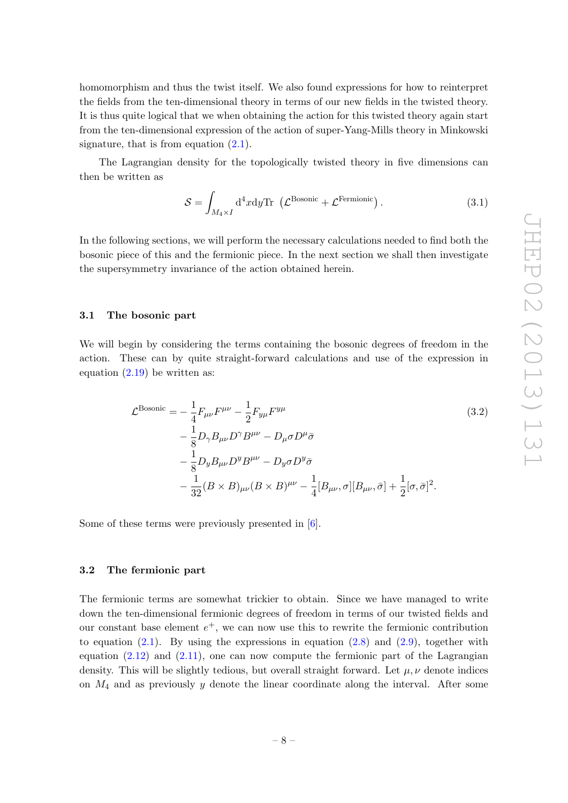homomorphism and thus the twist itself. We also found expressions for how to reinterpret the fields from the ten-dimensional theory in terms of our new fields in the twisted theory. It is thus quite logical that we when obtaining the action for this twisted theory again start from the ten-dimensional expression of the action of super-Yang-Mills theory in Minkowski signature, that is from equation  $(2.1)$ .

The Lagrangian density for the topologically twisted theory in five dimensions can then be written as

<span id="page-8-2"></span>
$$
S = \int_{M_4 \times I} d^4x dy \text{Tr} \, \left( \mathcal{L}^{\text{Bosonic}} + \mathcal{L}^{\text{Fermionic}} \right). \tag{3.1}
$$

In the following sections, we will perform the necessary calculations needed to find both the bosonic piece of this and the fermionic piece. In the next section we shall then investigate the supersymmetry invariance of the action obtained herein.

#### <span id="page-8-0"></span>3.1 The bosonic part

We will begin by considering the terms containing the bosonic degrees of freedom in the action. These can by quite straight-forward calculations and use of the expression in equation [\(2.19\)](#page-7-3) be written as:

$$
\mathcal{L}^{\text{Bosonic}} = -\frac{1}{4} F_{\mu\nu} F^{\mu\nu} - \frac{1}{2} F_{y\mu} F^{y\mu}
$$
\n
$$
-\frac{1}{8} D_{\gamma} B_{\mu\nu} D^{\gamma} B^{\mu\nu} - D_{\mu} \sigma D^{\mu} \bar{\sigma}
$$
\n
$$
-\frac{1}{8} D_{y} B_{\mu\nu} D^{y} B^{\mu\nu} - D_{y} \sigma D^{y} \bar{\sigma}
$$
\n
$$
-\frac{1}{32} (B \times B)_{\mu\nu} (B \times B)^{\mu\nu} - \frac{1}{4} [B_{\mu\nu}, \sigma] [B_{\mu\nu}, \bar{\sigma}] + \frac{1}{2} [\sigma, \bar{\sigma}]^{2}.
$$
\n(3.2)

Some of these terms were previously presented in [\[6\]](#page-14-4).

# <span id="page-8-1"></span>3.2 The fermionic part

The fermionic terms are somewhat trickier to obtain. Since we have managed to write down the ten-dimensional fermionic degrees of freedom in terms of our twisted fields and our constant base element  $e^+$ , we can now use this to rewrite the fermionic contribution to equation  $(2.1)$ . By using the expressions in equation  $(2.8)$  and  $(2.9)$ , together with equation  $(2.12)$  and  $(2.11)$ , one can now compute the fermionic part of the Lagrangian density. This will be slightly tedious, but overall straight forward. Let  $\mu, \nu$  denote indices on  $M_4$  and as previously y denote the linear coordinate along the interval. After some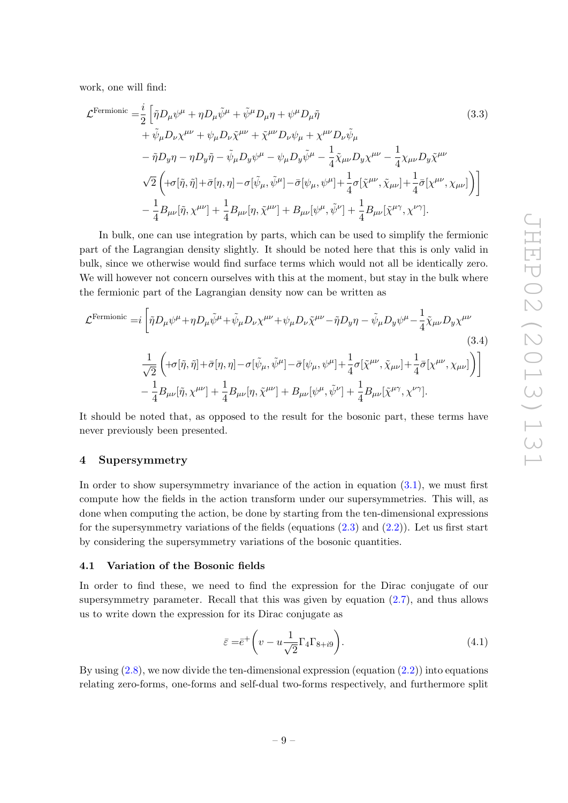work, one will find:

$$
\mathcal{L}^{\text{Fermionic}} = \frac{i}{2} \left[ \tilde{\eta} D_{\mu} \psi^{\mu} + \eta D_{\mu} \tilde{\psi}^{\mu} + \tilde{\psi}^{\mu} D_{\mu} \eta + \psi^{\mu} D_{\mu} \tilde{\eta} \right]
$$
(3.3)  
+  $\tilde{\psi}_{\mu} D_{\nu} \chi^{\mu \nu} + \psi_{\mu} D_{\nu} \tilde{\chi}^{\mu \nu} + \tilde{\chi}^{\mu \nu} D_{\nu} \psi_{\mu} + \chi^{\mu \nu} D_{\nu} \tilde{\psi}_{\mu}$   
-  $\tilde{\eta} D_{y} \eta - \eta D_{y} \tilde{\eta} - \tilde{\psi}_{\mu} D_{y} \psi^{\mu} - \psi_{\mu} D_{y} \tilde{\psi}^{\mu} - \frac{1}{4} \tilde{\chi}_{\mu \nu} D_{y} \chi^{\mu \nu} - \frac{1}{4} \chi_{\mu \nu} D_{y} \tilde{\chi}^{\mu \nu}$   
 $\sqrt{2} \left( +\sigma[\tilde{\eta}, \tilde{\eta}] + \bar{\sigma}[\eta, \eta] - \sigma[\tilde{\psi}_{\mu}, \tilde{\psi}^{\mu}] - \bar{\sigma}[\psi_{\mu}, \psi^{\mu}] + \frac{1}{4} \sigma[\tilde{\chi}^{\mu \nu}, \tilde{\chi}_{\mu \nu}] + \frac{1}{4} \bar{\sigma}[\chi^{\mu \nu}, \chi_{\mu \nu}] \right) \right]$   
-  $\frac{1}{4} B_{\mu \nu}[\tilde{\eta}, \chi^{\mu \nu}] + \frac{1}{4} B_{\mu \nu}[\eta, \tilde{\chi}^{\mu \nu}] + B_{\mu \nu}[\psi^{\mu}, \tilde{\psi}^{\nu}] + \frac{1}{4} B_{\mu \nu}[\tilde{\chi}^{\mu \gamma}, \chi^{\nu \gamma}].$  (3.3)

In bulk, one can use integration by parts, which can be used to simplify the fermionic part of the Lagrangian density slightly. It should be noted here that this is only valid in bulk, since we otherwise would find surface terms which would not all be identically zero. We will however not concern ourselves with this at the moment, but stay in the bulk where the fermionic part of the Lagrangian density now can be written as

$$
\mathcal{L}^{\text{Fermionic}} = i \left[ \tilde{\eta} D_{\mu} \psi^{\mu} + \eta D_{\mu} \tilde{\psi}^{\mu} + \tilde{\psi}_{\mu} D_{\nu} \chi^{\mu \nu} + \psi_{\mu} D_{\nu} \tilde{\chi}^{\mu \nu} - \tilde{\eta} D_{y} \eta - \tilde{\psi}_{\mu} D_{y} \psi^{\mu} - \frac{1}{4} \tilde{\chi}_{\mu \nu} D_{y} \chi^{\mu \nu} \right]
$$
\n
$$
\frac{1}{\sqrt{2}} \left( +\sigma[\tilde{\eta}, \tilde{\eta}] + \bar{\sigma}[\eta, \eta] - \sigma[\tilde{\psi}_{\mu}, \tilde{\psi}^{\mu}] - \bar{\sigma}[\psi_{\mu}, \psi^{\mu}] + \frac{1}{4} \sigma[\tilde{\chi}^{\mu \nu}, \tilde{\chi}_{\mu \nu}] + \frac{1}{4} \bar{\sigma}[\chi^{\mu \nu}, \chi_{\mu \nu}] \right) \right]
$$
\n
$$
- \frac{1}{4} B_{\mu \nu}[\tilde{\eta}, \chi^{\mu \nu}] + \frac{1}{4} B_{\mu \nu}[\eta, \tilde{\chi}^{\mu \nu}] + B_{\mu \nu}[\psi^{\mu}, \tilde{\psi}^{\nu}] + \frac{1}{4} B_{\mu \nu}[\tilde{\chi}^{\mu \gamma}, \chi^{\nu \gamma}].
$$
\n(3.4)

It should be noted that, as opposed to the result for the bosonic part, these terms have never previously been presented.

# <span id="page-9-0"></span>4 Supersymmetry

In order to show supersymmetry invariance of the action in equation [\(3.1\)](#page-8-2), we must first compute how the fields in the action transform under our supersymmetries. This will, as done when computing the action, be done by starting from the ten-dimensional expressions for the supersymmetry variations of the fields (equations  $(2.3)$  and  $(2.2)$ ). Let us first start by considering the supersymmetry variations of the bosonic quantities.

#### <span id="page-9-1"></span>4.1 Variation of the Bosonic fields

In order to find these, we need to find the expression for the Dirac conjugate of our supersymmetry parameter. Recall that this was given by equation [\(2.7\)](#page-5-2), and thus allows us to write down the expression for its Dirac conjugate as

$$
\bar{\varepsilon} = \bar{e}^+ \left( v - u \frac{1}{\sqrt{2}} \Gamma_4 \Gamma_{8+i9} \right). \tag{4.1}
$$

By using  $(2.8)$ , we now divide the ten-dimensional expression (equation  $(2.2)$ ) into equations relating zero-forms, one-forms and self-dual two-forms respectively, and furthermore split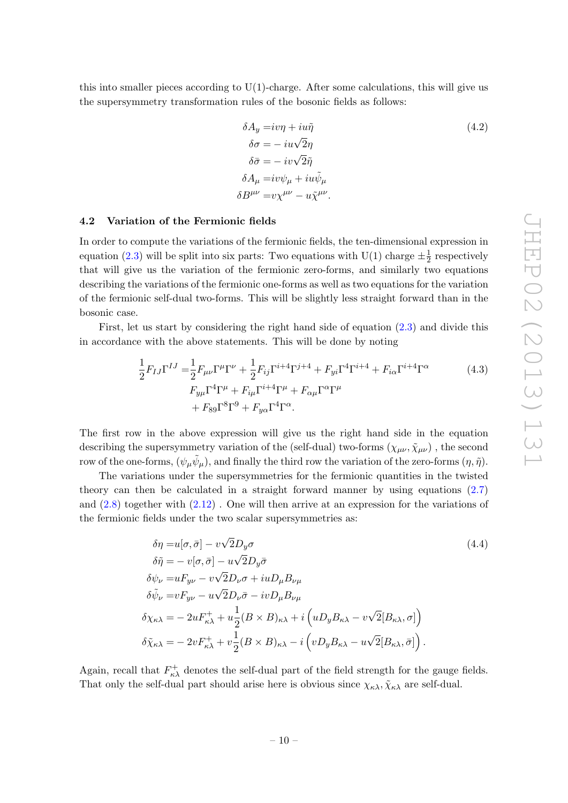this into smaller pieces according to  $U(1)$ -charge. After some calculations, this will give us the supersymmetry transformation rules of the bosonic fields as follows:

<span id="page-10-1"></span>
$$
\delta A_y = iv\eta + iu\tilde{\eta}
$$
\n
$$
\delta \sigma = -iu\sqrt{2}\eta
$$
\n
$$
\delta \bar{\sigma} = -iv\sqrt{2}\tilde{\eta}
$$
\n
$$
\delta A_\mu = iv\psi_\mu + iu\tilde{\psi}_\mu
$$
\n
$$
\delta B^{\mu\nu} = v\chi^{\mu\nu} - u\tilde{\chi}^{\mu\nu}.
$$
\n(4.2)

#### <span id="page-10-0"></span>4.2 Variation of the Fermionic fields

In order to compute the variations of the fermionic fields, the ten-dimensional expression in equation [\(2.3\)](#page-3-2) will be split into six parts: Two equations with U(1) charge  $\pm \frac{1}{2}$  $\frac{1}{2}$  respectively that will give us the variation of the fermionic zero-forms, and similarly two equations describing the variations of the fermionic one-forms as well as two equations for the variation of the fermionic self-dual two-forms. This will be slightly less straight forward than in the bosonic case.

First, let us start by considering the right hand side of equation  $(2.3)$  and divide this in accordance with the above statements. This will be done by noting

$$
\frac{1}{2}F_{IJ}\Gamma^{IJ} = \frac{1}{2}F_{\mu\nu}\Gamma^{\mu}\Gamma^{\nu} + \frac{1}{2}F_{ij}\Gamma^{i+4}\Gamma^{j+4} + F_{yi}\Gamma^{4}\Gamma^{i+4} + F_{i\alpha}\Gamma^{i+4}\Gamma^{\alpha}
$$
\n
$$
F_{y\mu}\Gamma^{4}\Gamma^{\mu} + F_{i\mu}\Gamma^{i+4}\Gamma^{\mu} + F_{\alpha\mu}\Gamma^{\alpha}\Gamma^{\mu}
$$
\n
$$
+ F_{89}\Gamma^{8}\Gamma^{9} + F_{y\alpha}\Gamma^{4}\Gamma^{\alpha}.
$$
\n(4.3)

The first row in the above expression will give us the right hand side in the equation describing the supersymmetry variation of the (self-dual) two-forms  $(\chi_{\mu\nu}, \tilde{\chi}_{\mu\nu})$ , the second row of the one-forms,  $(\psi_\mu \tilde{\psi}_\mu)$ , and finally the third row the variation of the zero-forms  $(\eta, \tilde{\eta})$ .

The variations under the supersymmetries for the fermionic quantities in the twisted theory can then be calculated in a straight forward manner by using equations [\(2.7\)](#page-5-2) and [\(2.8\)](#page-5-3) together with [\(2.12\)](#page-6-1) . One will then arrive at an expression for the variations of the fermionic fields under the two scalar supersymmetries as:

<span id="page-10-2"></span>
$$
\delta \eta = u[\sigma, \bar{\sigma}] - v\sqrt{2}D_y \sigma
$$
\n
$$
\delta \tilde{\eta} = -v[\sigma, \bar{\sigma}] - u\sqrt{2}D_y \bar{\sigma}
$$
\n
$$
\delta \psi_{\nu} = uF_{y\nu} - v\sqrt{2}D_{\nu}\sigma + iuD_{\mu}B_{\nu\mu}
$$
\n
$$
\delta \tilde{\psi}_{\nu} = vF_{y\nu} - u\sqrt{2}D_{\nu}\bar{\sigma} - ivD_{\mu}B_{\nu\mu}
$$
\n
$$
\delta \chi_{\kappa\lambda} = -2uF_{\kappa\lambda}^+ + u\frac{1}{2}(B \times B)_{\kappa\lambda} + i\left(uD_yB_{\kappa\lambda} - v\sqrt{2}[B_{\kappa\lambda}, \sigma]\right)
$$
\n
$$
\delta \tilde{\chi}_{\kappa\lambda} = -2vF_{\kappa\lambda}^+ + v\frac{1}{2}(B \times B)_{\kappa\lambda} - i\left(vD_yB_{\kappa\lambda} - u\sqrt{2}[B_{\kappa\lambda}, \bar{\sigma}]\right).
$$
\n(4.4)

Again, recall that  $F_{\kappa\lambda}^{+}$  denotes the self-dual part of the field strength for the gauge fields. That only the self-dual part should arise here is obvious since  $\chi_{\kappa\lambda}, \tilde{\chi}_{\kappa\lambda}$  are self-dual.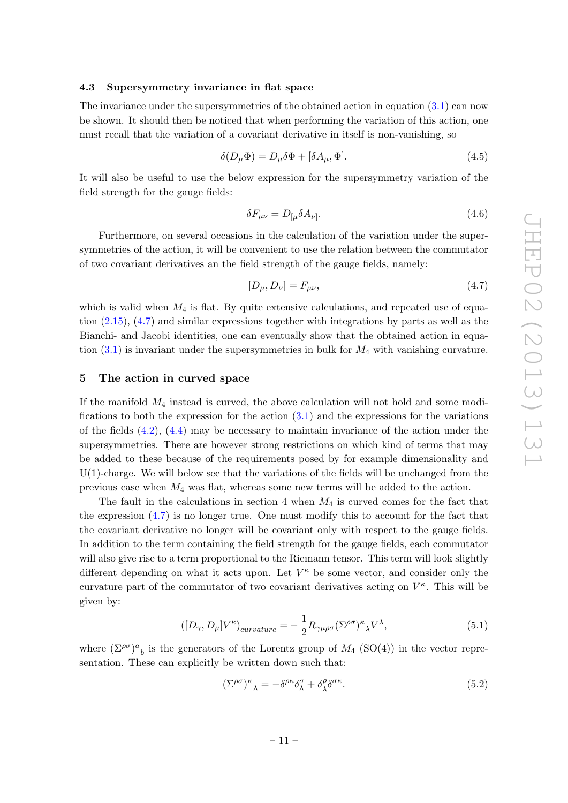# <span id="page-11-0"></span>4.3 Supersymmetry invariance in flat space

The invariance under the supersymmetries of the obtained action in equation  $(3.1)$  can now be shown. It should then be noticed that when performing the variation of this action, one must recall that the variation of a covariant derivative in itself is non-vanishing, so

$$
\delta(D_{\mu}\Phi) = D_{\mu}\delta\Phi + [\delta A_{\mu}, \Phi].
$$
\n(4.5)

It will also be useful to use the below expression for the supersymmetry variation of the field strength for the gauge fields:

$$
\delta F_{\mu\nu} = D_{[\mu} \delta A_{\nu]}.\tag{4.6}
$$

Furthermore, on several occasions in the calculation of the variation under the supersymmetries of the action, it will be convenient to use the relation between the commutator of two covariant derivatives an the field strength of the gauge fields, namely:

<span id="page-11-2"></span>
$$
[D_{\mu}, D_{\nu}] = F_{\mu\nu}, \tag{4.7}
$$

which is valid when  $M_4$  is flat. By quite extensive calculations, and repeated use of equation [\(2.15\)](#page-7-4), [\(4.7\)](#page-11-2) and similar expressions together with integrations by parts as well as the Bianchi- and Jacobi identities, one can eventually show that the obtained action in equation  $(3.1)$  is invariant under the supersymmetries in bulk for  $M_4$  with vanishing curvature.

# <span id="page-11-1"></span>5 The action in curved space

If the manifold  $M_4$  instead is curved, the above calculation will not hold and some modifications to both the expression for the action  $(3.1)$  and the expressions for the variations of the fields  $(4.2)$ ,  $(4.4)$  may be necessary to maintain invariance of the action under the supersymmetries. There are however strong restrictions on which kind of terms that may be added to these because of the requirements posed by for example dimensionality and  $U(1)$ -charge. We will below see that the variations of the fields will be unchanged from the previous case when  $M_4$  was flat, whereas some new terms will be added to the action.

The fault in the calculations in section 4 when  $M_4$  is curved comes for the fact that the expression [\(4.7\)](#page-11-2) is no longer true. One must modify this to account for the fact that the covariant derivative no longer will be covariant only with respect to the gauge fields. In addition to the term containing the field strength for the gauge fields, each commutator will also give rise to a term proportional to the Riemann tensor. This term will look slightly different depending on what it acts upon. Let  $V^{\kappa}$  be some vector, and consider only the curvature part of the commutator of two covariant derivatives acting on  $V^{\kappa}$ . This will be given by:

$$
([D_{\gamma}, D_{\mu}]V^{\kappa})_{curvature} = -\frac{1}{2}R_{\gamma\mu\rho\sigma}(\Sigma^{\rho\sigma})^{\kappa}{}_{\lambda}V^{\lambda},\tag{5.1}
$$

where  $(\Sigma^{\rho\sigma})^a{}_b$  is the generators of the Lorentz group of  $M_4$  (SO(4)) in the vector representation. These can explicitly be written down such that:

$$
(\Sigma^{\rho\sigma})^{\kappa}{}_{\lambda} = -\delta^{\rho\kappa}\delta^{\sigma}_{\lambda} + \delta^{\rho}_{\lambda}\delta^{\sigma\kappa}.
$$
\n(5.2)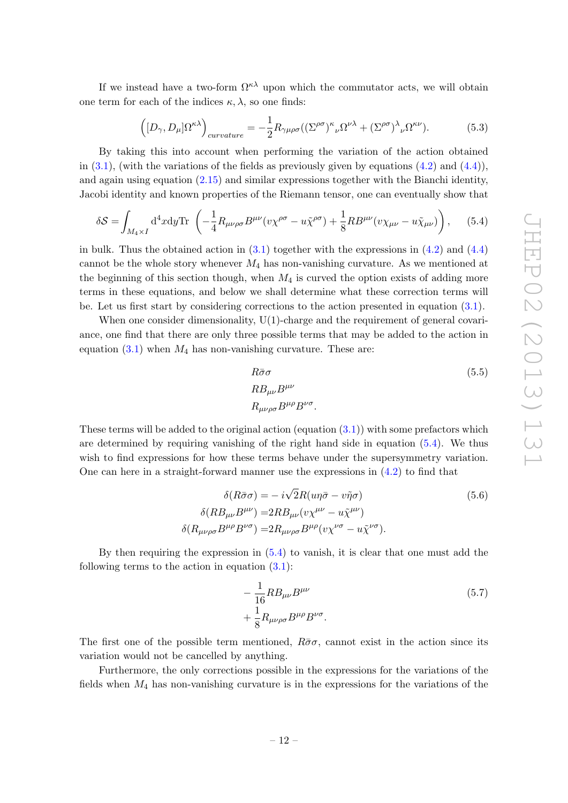If we instead have a two-form  $\Omega^{\kappa\lambda}$  upon which the commutator acts, we will obtain one term for each of the indices  $\kappa$ ,  $\lambda$ , so one finds:

$$
\left( [D_{\gamma}, D_{\mu}] \Omega^{\kappa \lambda} \right)_{curvature} = -\frac{1}{2} R_{\gamma \mu \rho \sigma} ((\Sigma^{\rho \sigma})^{\kappa}{}_{\nu} \Omega^{\nu \lambda} + (\Sigma^{\rho \sigma})^{\lambda}{}_{\nu} \Omega^{\kappa \nu}). \tag{5.3}
$$

By taking this into account when performing the variation of the action obtained in  $(3.1)$ , (with the variations of the fields as previously given by equations  $(4.2)$  and  $(4.4)$ ), and again using equation [\(2.15\)](#page-7-4) and similar expressions together with the Bianchi identity, Jacobi identity and known properties of the Riemann tensor, one can eventually show that

$$
\delta S = \int_{M_4 \times I} d^4 x dy \text{Tr} \left( -\frac{1}{4} R_{\mu\nu\rho\sigma} B^{\mu\nu} (v \chi^{\rho\sigma} - u \tilde{\chi}^{\rho\sigma}) + \frac{1}{8} R B^{\mu\nu} (v \chi_{\mu\nu} - u \tilde{\chi}_{\mu\nu}) \right), \quad (5.4)
$$

in bulk. Thus the obtained action in  $(3.1)$  together with the expressions in  $(4.2)$  and  $(4.4)$ cannot be the whole story whenever  $M_4$  has non-vanishing curvature. As we mentioned at the beginning of this section though, when  $M_4$  is curved the option exists of adding more terms in these equations, and below we shall determine what these correction terms will be. Let us first start by considering corrections to the action presented in equation [\(3.1\)](#page-8-2).

When one consider dimensionality,  $U(1)$ -charge and the requirement of general covariance, one find that there are only three possible terms that may be added to the action in equation  $(3.1)$  when  $M_4$  has non-vanishing curvature. These are:

<span id="page-12-0"></span>
$$
R\bar{\sigma}\sigma
$$
\n
$$
RB_{\mu\nu}B^{\mu\nu}
$$
\n
$$
R_{\mu\nu\rho\sigma}B^{\mu\rho}B^{\nu\sigma}
$$
\n(5.5)

These terms will be added to the original action (equation  $(3.1)$ ) with some prefactors which are determined by requiring vanishing of the right hand side in equation [\(5.4\)](#page-12-0). We thus wish to find expressions for how these terms behave under the supersymmetry variation. One can here in a straight-forward manner use the expressions in  $(4.2)$  to find that

$$
\delta(R\bar{\sigma}\sigma) = -i\sqrt{2}R(u\eta\bar{\sigma} - v\tilde{\eta}\sigma)
$$
\n
$$
\delta(RB_{\mu\nu}B^{\mu\nu}) = 2RB_{\mu\nu}(v\chi^{\mu\nu} - u\tilde{\chi}^{\mu\nu})
$$
\n
$$
\delta(R_{\mu\nu\rho\sigma}B^{\mu\rho}B^{\nu\sigma}) = 2R_{\mu\nu\rho\sigma}B^{\mu\rho}(v\chi^{\nu\sigma} - u\tilde{\chi}^{\nu\sigma}).
$$
\n(5.6)

By then requiring the expression in [\(5.4\)](#page-12-0) to vanish, it is clear that one must add the following terms to the action in equation  $(3.1)$ :

$$
-\frac{1}{16}RB_{\mu\nu}B^{\mu\nu} + \frac{1}{8}R_{\mu\nu\rho\sigma}B^{\mu\rho}B^{\nu\sigma}.
$$
\n(5.7)

The first one of the possible term mentioned,  $R\bar{\sigma}\sigma$ , cannot exist in the action since its variation would not be cancelled by anything.

Furthermore, the only corrections possible in the expressions for the variations of the fields when  $M_4$  has non-vanishing curvature is in the expressions for the variations of the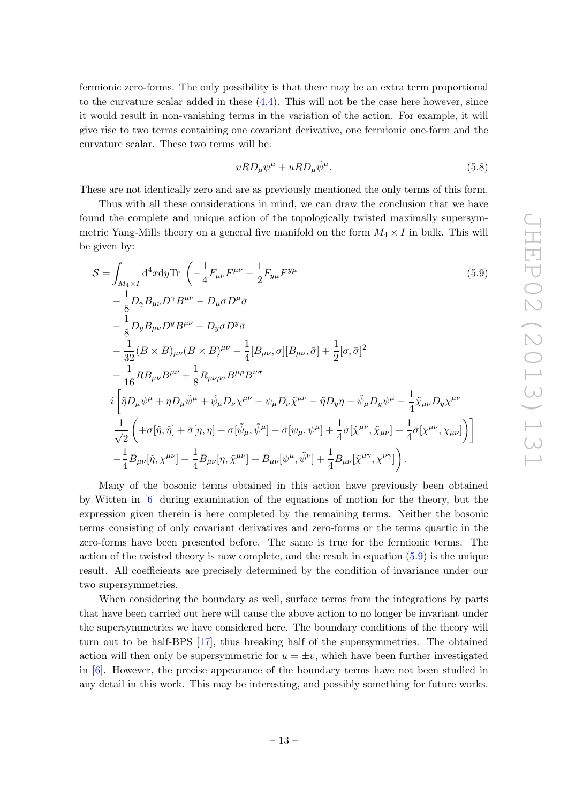fermionic zero-forms. The only possibility is that there may be an extra term proportional to the curvature scalar added in these [\(4.4\)](#page-10-2). This will not be the case here however, since it would result in non-vanishing terms in the variation of the action. For example, it will give rise to two terms containing one covariant derivative, one fermionic one-form and the curvature scalar. These two terms will be:

<span id="page-13-0"></span>
$$
vRD_{\mu}\psi^{\mu} + uRD_{\mu}\tilde{\psi}^{\mu}.
$$
\n(5.8)

These are not identically zero and are as previously mentioned the only terms of this form.

Thus with all these considerations in mind, we can draw the conclusion that we have found the complete and unique action of the topologically twisted maximally supersymmetric Yang-Mills theory on a general five manifold on the form  $M_4 \times I$  in bulk. This will be given by:

$$
S = \int_{M_4 \times I} d^4x dy \text{Tr} \left( -\frac{1}{4} F_{\mu\nu} F^{\mu\nu} - \frac{1}{2} F_{y\mu} F^{y\mu} - \frac{1}{2} F_{y\mu} F^{y\mu} \right) \qquad (5.9)
$$
  
\n
$$
- \frac{1}{8} D_{\gamma} B_{\mu\nu} D^{\gamma} B^{\mu\nu} - D_{\mu} \sigma D^{\mu} \bar{\sigma} - \frac{1}{8} D_{y} B_{\mu\nu} D^{y} B^{\mu\nu} - D_{y} \sigma D^{y} \bar{\sigma} - \frac{1}{32} (B \times B)_{\mu\nu} (B \times B)^{\mu\nu} - \frac{1}{4} [B_{\mu\nu}, \sigma] [B_{\mu\nu}, \bar{\sigma}] + \frac{1}{2} [\sigma, \bar{\sigma}]^{2} - \frac{1}{16} R B_{\mu\nu} B^{\mu\nu} + \frac{1}{8} R_{\mu\nu\rho\sigma} B^{\mu\rho} B^{\nu\sigma} - \tilde{\eta} D_{y} \eta - \tilde{\psi}_{\mu} D_{y} \psi^{\mu} - \frac{1}{4} \tilde{\chi}_{\mu\nu} D_{y} \chi^{\mu\nu} - \frac{1}{\sqrt{2}} (+ \sigma [\tilde{\eta}, \tilde{\eta}] + \bar{\sigma} [\eta, \eta] - \sigma [\tilde{\psi}_{\mu}, \tilde{\psi}^{\mu}] - \bar{\sigma} [\psi_{\mu}, \psi^{\mu}] + \frac{1}{4} \sigma [\tilde{\chi}^{\mu\nu}, \tilde{\chi}_{\mu\nu}] + \frac{1}{4} \bar{\sigma} [\chi^{\mu\nu}, \chi_{\mu\nu}] \bigg) - \frac{1}{4} B_{\mu\nu} [\tilde{\eta}, \chi^{\mu\nu}] + \frac{1}{4} B_{\mu\nu} [\eta, \tilde{\chi}^{\mu\nu}] + B_{\mu\nu} [\psi^{\mu}, \tilde{\psi}^{\nu}] + \frac{1}{4} B_{\mu\nu} [\tilde{\chi}^{\mu\gamma}, \chi^{\nu\gamma}] \bigg).
$$

Many of the bosonic terms obtained in this action have previously been obtained by Witten in [\[6\]](#page-14-4) during examination of the equations of motion for the theory, but the expression given therein is here completed by the remaining terms. Neither the bosonic terms consisting of only covariant derivatives and zero-forms or the terms quartic in the zero-forms have been presented before. The same is true for the fermionic terms. The action of the twisted theory is now complete, and the result in equation [\(5.9\)](#page-13-0) is the unique result. All coefficients are precisely determined by the condition of invariance under our two supersymmetries.

When considering the boundary as well, surface terms from the integrations by parts that have been carried out here will cause the above action to no longer be invariant under the supersymmetries we have considered here. The boundary conditions of the theory will turn out to be half-BPS [\[17\]](#page-14-14), thus breaking half of the supersymmetries. The obtained action will then only be supersymmetric for  $u = \pm v$ , which have been further investigated in [\[6\]](#page-14-4). However, the precise appearance of the boundary terms have not been studied in any detail in this work. This may be interesting, and possibly something for future works.